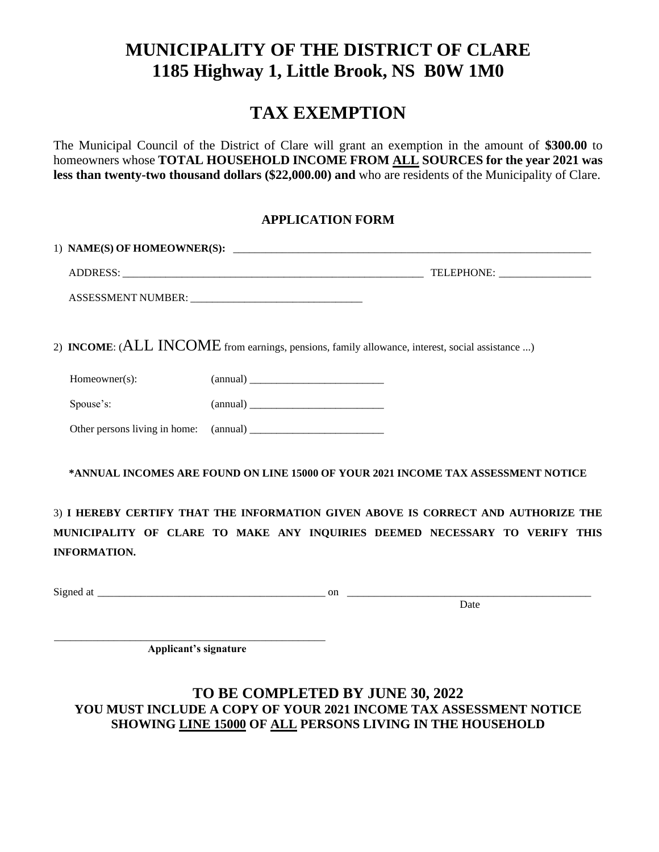## **MUNICIPALITY OF THE DISTRICT OF CLARE 1185 Highway 1, Little Brook, NS B0W 1M0**

## **TAX EXEMPTION**

The Municipal Council of the District of Clare will grant an exemption in the amount of **\$300.00** to homeowners whose **TOTAL HOUSEHOLD INCOME FROM ALL SOURCES for the year 2021 was less than twenty-two thousand dollars (\$22,000.00) and** who are residents of the Municipality of Clare.

### **APPLICATION FORM**

|               | 2) INCOME: (ALL INCOME from earnings, pensions, family allowance, interest, social assistance ) |
|---------------|-------------------------------------------------------------------------------------------------|
| Homeowner(s): |                                                                                                 |
| Spouse's:     |                                                                                                 |
|               |                                                                                                 |
|               | *ANNUAL INCOMES ARE FOUND ON LINE 15000 OF YOUR 2021 INCOME TAX ASSESSMENT NOTICE               |
|               | 3) I HEREBY CERTIFY THAT THE INFORMATION GIVEN ABOVE IS CORRECT AND AUTHORIZE THE               |

**MUNICIPALITY OF CLARE TO MAKE ANY INQUIRIES DEEMED NECESSARY TO VERIFY THIS INFORMATION.**

Signed at \_\_\_\_\_\_\_\_\_\_\_\_\_\_\_\_\_\_\_\_\_\_\_\_\_\_\_\_\_\_\_\_\_\_\_\_\_\_\_\_\_\_ on \_\_\_\_\_\_\_\_\_\_\_\_\_\_\_\_\_\_\_\_\_\_\_\_\_\_\_\_\_\_\_\_\_\_\_\_\_\_\_\_\_\_\_\_\_

**Date Date Date Date Date** 

\_\_\_\_\_\_\_\_\_\_\_\_\_\_\_\_\_\_\_\_\_\_\_\_\_\_\_\_\_\_\_\_\_\_\_\_\_\_\_\_\_\_\_\_\_\_\_\_\_\_ **Applicant's signature**

### **TO BE COMPLETED BY JUNE 30, 2022 YOU MUST INCLUDE A COPY OF YOUR 2021 INCOME TAX ASSESSMENT NOTICE SHOWING LINE 15000 OF ALL PERSONS LIVING IN THE HOUSEHOLD**